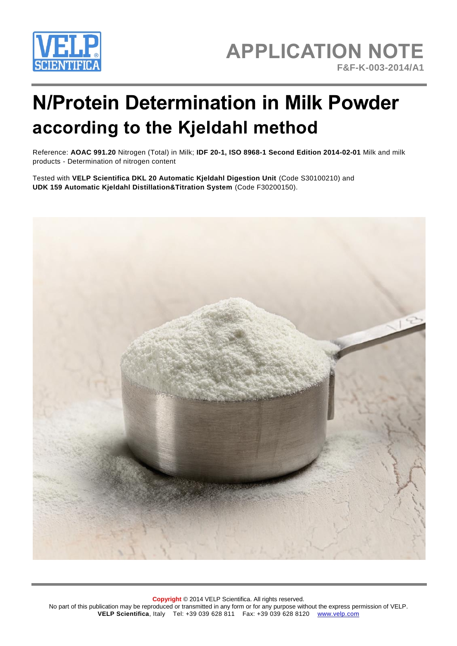

# **APPLICATION NOTE F&F-K-003-2014/A1**

# **N/Protein Determination in Milk Powder according to the Kjeldahl method**

Reference: **AOAC 991.20** Nitrogen (Total) in Milk; **IDF 20-1, ISO 8968-1 Second Edition 2014-02-01** Milk and milk products - Determination of nitrogen content

Tested with **VELP Scientifica DKL 20 Automatic Kjeldahl Digestion Unit** (Code S30100210) and **UDK 159 Automatic Kjeldahl Distillation&Titration System** (Code F30200150).

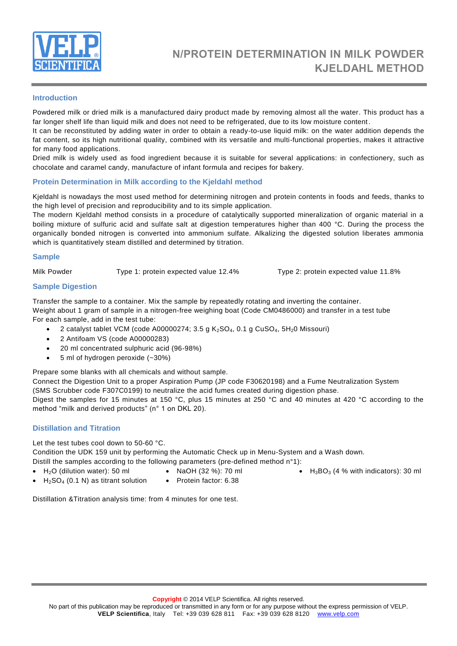

# **Introduction**

Powdered milk or dried milk is a manufactured dairy product made by removing almost all the water. This product has a far longer shelf life than liquid milk and does not need to be refrigerated, due to its low moisture content.

It can be reconstituted by adding water in order to obtain a ready-to-use liquid milk: on the water addition depends the fat content, so its high nutritional quality, combined with its versatile and multi-functional properties, makes it attractive for many food applications.

Dried milk is widely used as food ingredient because it is suitable for several applications: in confectionery, such as chocolate and caramel candy, manufacture of infant formula and recipes for bakery.

# **Protein Determination in Milk according to the Kjeldahl method**

Kjeldahl is nowadays the most used method for determining nitrogen and protein contents in foods and feeds, thanks to the high level of precision and reproducibility and to its simple application.

The modern Kjeldahl method consists in a procedure of catalytically supported mineralization of organic material in a boiling mixture of sulfuric acid and sulfate salt at digestion temperatures higher than 400 °C. During the process the organically bonded nitrogen is converted into ammonium sulfate. Alkalizing the digested solution liberates ammonia which is quantitatively steam distilled and determined by titration.

#### **Sample**

Milk Powder Type 1: protein expected value 12.4% Type 2: protein expected value 11.8%

# **Sample Digestion**

Transfer the sample to a container. Mix the sample by repeatedly rotating and inverting the container. Weight about 1 gram of sample in a nitrogen-free weighing boat (Code CM0486000) and transfer in a test tube For each sample, add in the test tube:

- 2 catalyst tablet VCM (code A00000274; 3.5 g  $K_2$ SO<sub>4</sub>, 0.1 g CuSO<sub>4</sub>, 5H<sub>2</sub>0 Missouri)
- 2 Antifoam VS (code A00000283)
- 20 ml concentrated sulphuric acid (96-98%)
- 5 ml of hydrogen peroxide (~30%)

Prepare some blanks with all chemicals and without sample.

Connect the Digestion Unit to a proper Aspiration Pump (JP code F30620198) and a Fume Neutralization System (SMS Scrubber code F307C0199) to neutralize the acid fumes created during digestion phase.

Digest the samples for 15 minutes at 150 °C, plus 15 minutes at 250 °C and 40 minutes at 420 °C according to the method "milk and derived products" (n° 1 on DKL 20).

#### **Distillation and Titration**

Let the test tubes cool down to 50-60 °C.

Condition the UDK 159 unit by performing the Automatic Check up in Menu-System and a Wash down.

- Distill the samples according to the following parameters (pre-defined method  $n^{\circ}$ 1):
- $\bullet$  H<sub>2</sub>O (dilution water): 50 ml
- NaOH (32 %): 70 ml
- 
- H<sub>2</sub>SO<sub>4</sub> (0.1 N) as titrant solution • Protein factor: 6.38
- $H_3BO_3$  (4 % with indicators): 30 ml
- Distillation &Titration analysis time: from 4 minutes for one test.